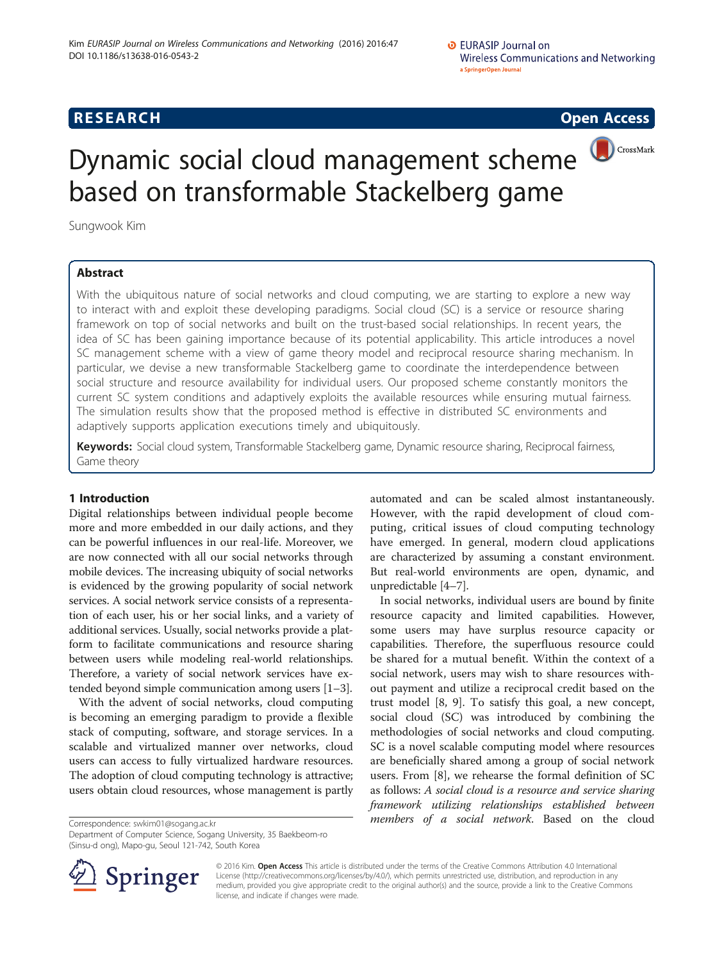## **RESEARCH RESEARCH CONSUMING ACCESS**



# Dynamic social cloud management scheme based on transformable Stackelberg game

Sungwook Kim

### Abstract

With the ubiquitous nature of social networks and cloud computing, we are starting to explore a new way to interact with and exploit these developing paradigms. Social cloud (SC) is a service or resource sharing framework on top of social networks and built on the trust-based social relationships. In recent years, the idea of SC has been gaining importance because of its potential applicability. This article introduces a novel SC management scheme with a view of game theory model and reciprocal resource sharing mechanism. In particular, we devise a new transformable Stackelberg game to coordinate the interdependence between social structure and resource availability for individual users. Our proposed scheme constantly monitors the current SC system conditions and adaptively exploits the available resources while ensuring mutual fairness. The simulation results show that the proposed method is effective in distributed SC environments and adaptively supports application executions timely and ubiquitously.

Keywords: Social cloud system, Transformable Stackelberg game, Dynamic resource sharing, Reciprocal fairness, Game theory

### 1 Introduction

Digital relationships between individual people become more and more embedded in our daily actions, and they can be powerful influences in our real-life. Moreover, we are now connected with all our social networks through mobile devices. The increasing ubiquity of social networks is evidenced by the growing popularity of social network services. A social network service consists of a representation of each user, his or her social links, and a variety of additional services. Usually, social networks provide a platform to facilitate communications and resource sharing between users while modeling real-world relationships. Therefore, a variety of social network services have extended beyond simple communication among users [\[1](#page-8-0)–[3\]](#page-8-0).

With the advent of social networks, cloud computing is becoming an emerging paradigm to provide a flexible stack of computing, software, and storage services. In a scalable and virtualized manner over networks, cloud users can access to fully virtualized hardware resources. The adoption of cloud computing technology is attractive; users obtain cloud resources, whose management is partly

automated and can be scaled almost instantaneously. However, with the rapid development of cloud computing, critical issues of cloud computing technology have emerged. In general, modern cloud applications are characterized by assuming a constant environment. But real-world environments are open, dynamic, and unpredictable [\[4](#page-8-0)–[7\]](#page-8-0).

In social networks, individual users are bound by finite resource capacity and limited capabilities. However, some users may have surplus resource capacity or capabilities. Therefore, the superfluous resource could be shared for a mutual benefit. Within the context of a social network, users may wish to share resources without payment and utilize a reciprocal credit based on the trust model [\[8, 9](#page-8-0)]. To satisfy this goal, a new concept, social cloud (SC) was introduced by combining the methodologies of social networks and cloud computing. SC is a novel scalable computing model where resources are beneficially shared among a group of social network users. From [\[8\]](#page-8-0), we rehearse the formal definition of SC as follows: A social cloud is a resource and service sharing framework utilizing relationships established between Correspondence: [swkim01@sogang.ac.kr](mailto:swkim01@sogang.ac.kr) members of a social network. Based on the cloud

Department of Computer Science, Sogang University, 35 Baekbeom-ro (Sinsu-d ong), Mapo-gu, Seoul 121-742, South Korea



© 2016 Kim. Open Access This article is distributed under the terms of the Creative Commons Attribution 4.0 International License [\(http://creativecommons.org/licenses/by/4.0/](http://creativecommons.org/licenses/by/4.0/)), which permits unrestricted use, distribution, and reproduction in any medium, provided you give appropriate credit to the original author(s) and the source, provide a link to the Creative Commons license, and indicate if changes were made.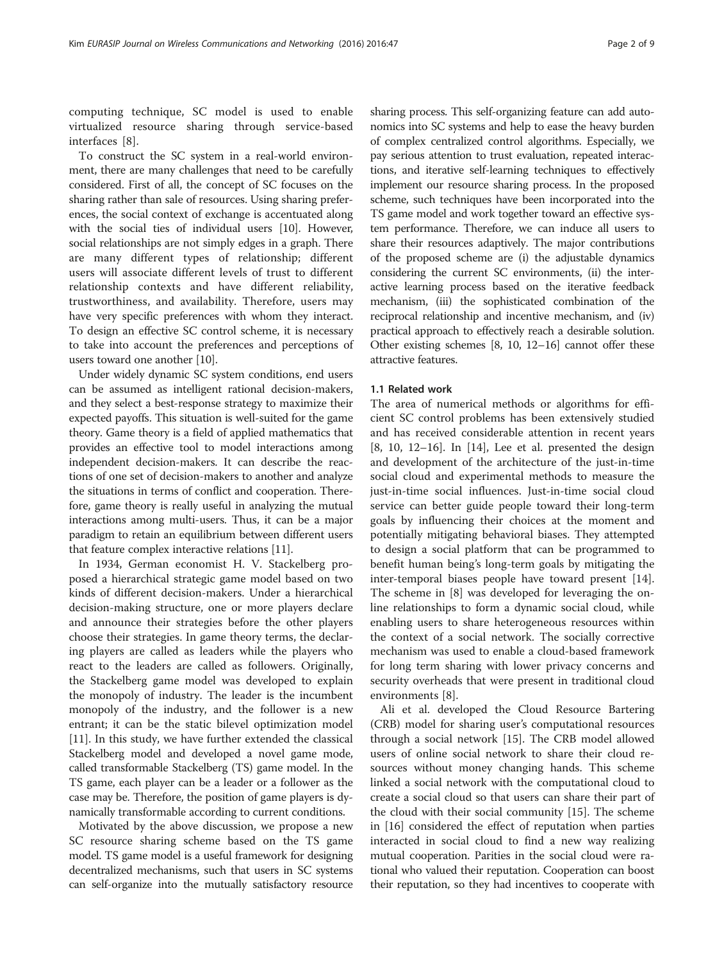computing technique, SC model is used to enable virtualized resource sharing through service-based interfaces [[8\]](#page-8-0).

To construct the SC system in a real-world environment, there are many challenges that need to be carefully considered. First of all, the concept of SC focuses on the sharing rather than sale of resources. Using sharing preferences, the social context of exchange is accentuated along with the social ties of individual users [[10](#page-8-0)]. However, social relationships are not simply edges in a graph. There are many different types of relationship; different users will associate different levels of trust to different relationship contexts and have different reliability, trustworthiness, and availability. Therefore, users may have very specific preferences with whom they interact. To design an effective SC control scheme, it is necessary to take into account the preferences and perceptions of users toward one another [\[10\]](#page-8-0).

Under widely dynamic SC system conditions, end users can be assumed as intelligent rational decision-makers, and they select a best-response strategy to maximize their expected payoffs. This situation is well-suited for the game theory. Game theory is a field of applied mathematics that provides an effective tool to model interactions among independent decision-makers. It can describe the reactions of one set of decision-makers to another and analyze the situations in terms of conflict and cooperation. Therefore, game theory is really useful in analyzing the mutual interactions among multi-users. Thus, it can be a major paradigm to retain an equilibrium between different users that feature complex interactive relations [\[11\]](#page-8-0).

In 1934, German economist H. V. Stackelberg proposed a hierarchical strategic game model based on two kinds of different decision-makers. Under a hierarchical decision-making structure, one or more players declare and announce their strategies before the other players choose their strategies. In game theory terms, the declaring players are called as leaders while the players who react to the leaders are called as followers. Originally, the Stackelberg game model was developed to explain the monopoly of industry. The leader is the incumbent monopoly of the industry, and the follower is a new entrant; it can be the static bilevel optimization model [[11\]](#page-8-0). In this study, we have further extended the classical Stackelberg model and developed a novel game mode, called transformable Stackelberg (TS) game model. In the TS game, each player can be a leader or a follower as the case may be. Therefore, the position of game players is dynamically transformable according to current conditions.

Motivated by the above discussion, we propose a new SC resource sharing scheme based on the TS game model. TS game model is a useful framework for designing decentralized mechanisms, such that users in SC systems can self-organize into the mutually satisfactory resource sharing process. This self-organizing feature can add autonomics into SC systems and help to ease the heavy burden of complex centralized control algorithms. Especially, we pay serious attention to trust evaluation, repeated interactions, and iterative self-learning techniques to effectively implement our resource sharing process. In the proposed scheme, such techniques have been incorporated into the TS game model and work together toward an effective system performance. Therefore, we can induce all users to share their resources adaptively. The major contributions of the proposed scheme are (i) the adjustable dynamics considering the current SC environments, (ii) the interactive learning process based on the iterative feedback mechanism, (iii) the sophisticated combination of the reciprocal relationship and incentive mechanism, and (iv) practical approach to effectively reach a desirable solution. Other existing schemes [[8](#page-8-0), [10, 12](#page-8-0)–[16\]](#page-8-0) cannot offer these attractive features.

### 1.1 Related work

The area of numerical methods or algorithms for efficient SC control problems has been extensively studied and has received considerable attention in recent years  $[8, 10, 12-16]$  $[8, 10, 12-16]$  $[8, 10, 12-16]$  $[8, 10, 12-16]$  $[8, 10, 12-16]$  $[8, 10, 12-16]$  $[8, 10, 12-16]$ . In  $[14]$  $[14]$ , Lee et al. presented the design and development of the architecture of the just-in-time social cloud and experimental methods to measure the just-in-time social influences. Just-in-time social cloud service can better guide people toward their long-term goals by influencing their choices at the moment and potentially mitigating behavioral biases. They attempted to design a social platform that can be programmed to benefit human being's long-term goals by mitigating the inter-temporal biases people have toward present [\[14](#page-8-0)]. The scheme in [\[8\]](#page-8-0) was developed for leveraging the online relationships to form a dynamic social cloud, while enabling users to share heterogeneous resources within the context of a social network. The socially corrective mechanism was used to enable a cloud-based framework for long term sharing with lower privacy concerns and security overheads that were present in traditional cloud environments [[8\]](#page-8-0).

Ali et al. developed the Cloud Resource Bartering (CRB) model for sharing user's computational resources through a social network [[15\]](#page-8-0). The CRB model allowed users of online social network to share their cloud resources without money changing hands. This scheme linked a social network with the computational cloud to create a social cloud so that users can share their part of the cloud with their social community [\[15\]](#page-8-0). The scheme in [[16\]](#page-8-0) considered the effect of reputation when parties interacted in social cloud to find a new way realizing mutual cooperation. Parities in the social cloud were rational who valued their reputation. Cooperation can boost their reputation, so they had incentives to cooperate with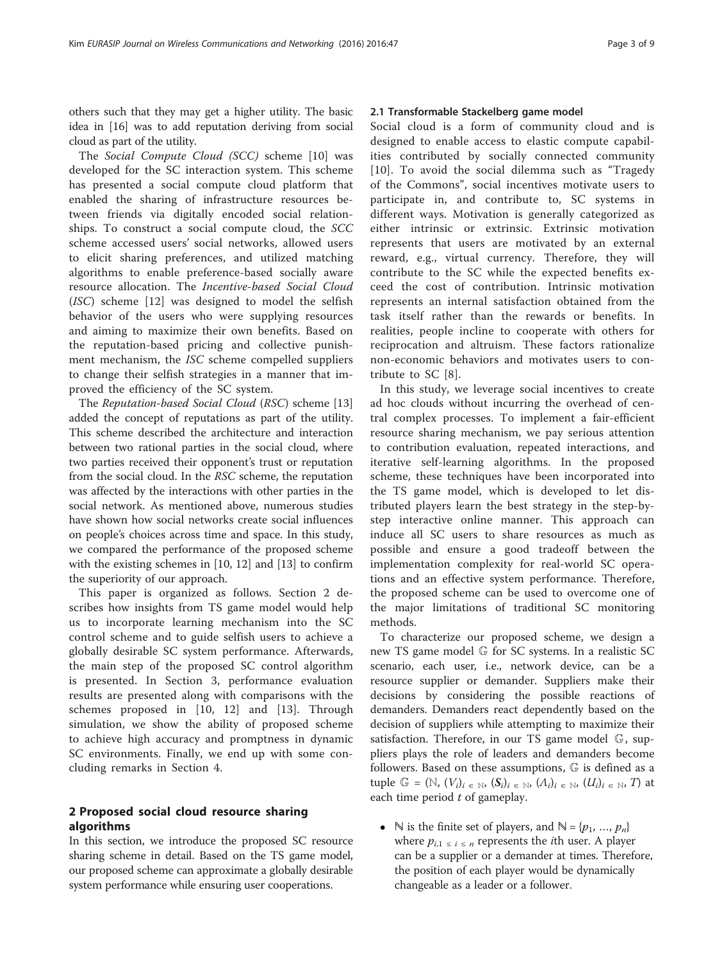others such that they may get a higher utility. The basic idea in [[16](#page-8-0)] was to add reputation deriving from social cloud as part of the utility.

The Social Compute Cloud (SCC) scheme [[10\]](#page-8-0) was developed for the SC interaction system. This scheme has presented a social compute cloud platform that enabled the sharing of infrastructure resources between friends via digitally encoded social relationships. To construct a social compute cloud, the SCC scheme accessed users' social networks, allowed users to elicit sharing preferences, and utilized matching algorithms to enable preference-based socially aware resource allocation. The Incentive-based Social Cloud (ISC) scheme [\[12](#page-8-0)] was designed to model the selfish behavior of the users who were supplying resources and aiming to maximize their own benefits. Based on the reputation-based pricing and collective punishment mechanism, the ISC scheme compelled suppliers to change their selfish strategies in a manner that improved the efficiency of the SC system.

The Reputation-based Social Cloud (RSC) scheme [[13](#page-8-0)] added the concept of reputations as part of the utility. This scheme described the architecture and interaction between two rational parties in the social cloud, where two parties received their opponent's trust or reputation from the social cloud. In the RSC scheme, the reputation was affected by the interactions with other parties in the social network. As mentioned above, numerous studies have shown how social networks create social influences on people's choices across time and space. In this study, we compared the performance of the proposed scheme with the existing schemes in [\[10, 12\]](#page-8-0) and [\[13\]](#page-8-0) to confirm the superiority of our approach.

This paper is organized as follows. Section 2 describes how insights from TS game model would help us to incorporate learning mechanism into the SC control scheme and to guide selfish users to achieve a globally desirable SC system performance. Afterwards, the main step of the proposed SC control algorithm is presented. In Section [3,](#page-6-0) performance evaluation results are presented along with comparisons with the schemes proposed in [\[10](#page-8-0), [12](#page-8-0)] and [\[13](#page-8-0)]. Through simulation, we show the ability of proposed scheme to achieve high accuracy and promptness in dynamic SC environments. Finally, we end up with some concluding remarks in Section [4.](#page-8-0)

### 2 Proposed social cloud resource sharing algorithms

In this section, we introduce the proposed SC resource sharing scheme in detail. Based on the TS game model, our proposed scheme can approximate a globally desirable system performance while ensuring user cooperations.

### 2.1 Transformable Stackelberg game model

Social cloud is a form of community cloud and is designed to enable access to elastic compute capabilities contributed by socially connected community [[10](#page-8-0)]. To avoid the social dilemma such as "Tragedy of the Commons", social incentives motivate users to participate in, and contribute to, SC systems in different ways. Motivation is generally categorized as either intrinsic or extrinsic. Extrinsic motivation represents that users are motivated by an external reward, e.g., virtual currency. Therefore, they will contribute to the SC while the expected benefits exceed the cost of contribution. Intrinsic motivation represents an internal satisfaction obtained from the task itself rather than the rewards or benefits. In realities, people incline to cooperate with others for reciprocation and altruism. These factors rationalize non-economic behaviors and motivates users to contribute to SC [[8\]](#page-8-0).

In this study, we leverage social incentives to create ad hoc clouds without incurring the overhead of central complex processes. To implement a fair-efficient resource sharing mechanism, we pay serious attention to contribution evaluation, repeated interactions, and iterative self-learning algorithms. In the proposed scheme, these techniques have been incorporated into the TS game model, which is developed to let distributed players learn the best strategy in the step-bystep interactive online manner. This approach can induce all SC users to share resources as much as possible and ensure a good tradeoff between the implementation complexity for real-world SC operations and an effective system performance. Therefore, the proposed scheme can be used to overcome one of the major limitations of traditional SC monitoring methods.

To characterize our proposed scheme, we design a new TS game model G for SC systems. In a realistic SC scenario, each user, i.e., network device, can be a resource supplier or demander. Suppliers make their decisions by considering the possible reactions of demanders. Demanders react dependently based on the decision of suppliers while attempting to maximize their satisfaction. Therefore, in our TS game model  $\mathbb{G}$ , suppliers plays the role of leaders and demanders become followers. Based on these assumptions, G is defined as a tuple  $\mathbb{G} = (\mathbb{N}, (V_i)_{i \in \mathbb{N}}, (S_i)_{i \in \mathbb{N}}, (A_i)_{i \in \mathbb{N}}, (U_i)_{i \in \mathbb{N}}, T)$  at each time period  $t$  of gameplay.

•  $\mathbb N$  is the finite set of players, and  $\mathbb N = \{p_1, ..., p_n\}$ where  $p_{i,1} \leq i \leq n$  represents the *i*th user. A player can be a supplier or a demander at times. Therefore, the position of each player would be dynamically changeable as a leader or a follower.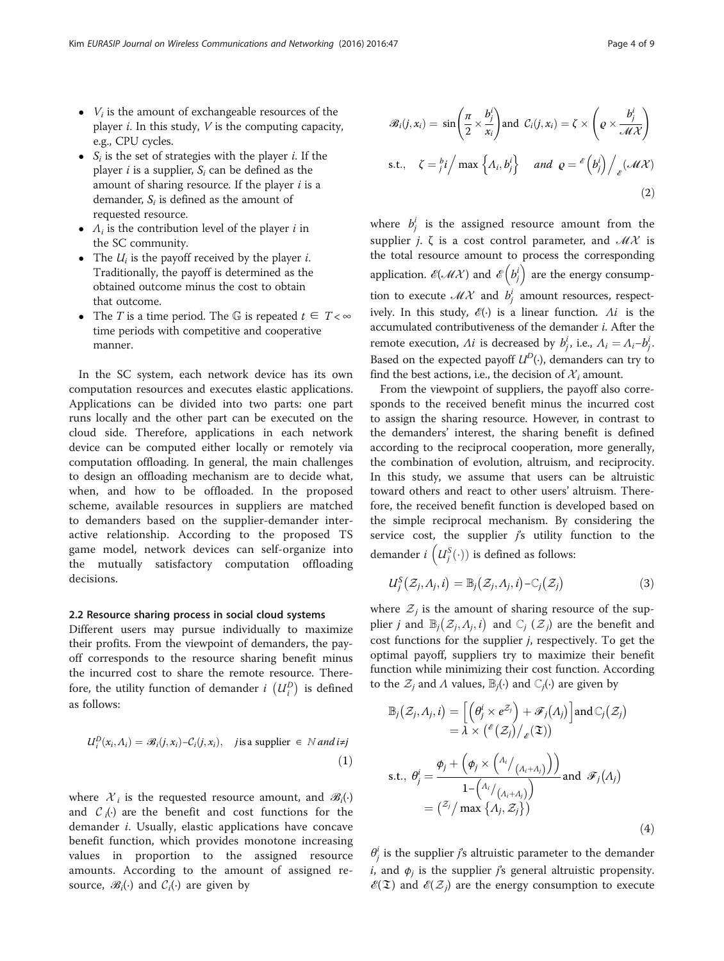- <span id="page-3-0"></span> $\bullet$   $V_i$  is the amount of exchangeable resources of the player  $i$ . In this study,  $V$  is the computing capacity, e.g., CPU cycles.
- $S_i$  is the set of strategies with the player *i*. If the player *i* is a supplier,  $S_i$  can be defined as the amount of sharing resource. If the player  $i$  is a demander,  $S_i$  is defined as the amount of requested resource.
- $\Lambda_i$  is the contribution level of the player *i* in the SC community.
- The  $U_i$  is the payoff received by the player *i*. Traditionally, the payoff is determined as the obtained outcome minus the cost to obtain that outcome.
- The T is a time period. The G is repeated  $t \in T < \infty$ time periods with competitive and cooperative manner.

In the SC system, each network device has its own computation resources and executes elastic applications. Applications can be divided into two parts: one part runs locally and the other part can be executed on the cloud side. Therefore, applications in each network device can be computed either locally or remotely via computation offloading. In general, the main challenges to design an offloading mechanism are to decide what, when, and how to be offloaded. In the proposed scheme, available resources in suppliers are matched to demanders based on the supplier-demander interactive relationship. According to the proposed TS game model, network devices can self-organize into the mutually satisfactory computation offloading decisions.

### 2.2 Resource sharing process in social cloud systems

Different users may pursue individually to maximize their profits. From the viewpoint of demanders, the payoff corresponds to the resource sharing benefit minus the incurred cost to share the remote resource. Therefore, the utility function of demander  $i\,\left( U^D_i \right)$  is defined as follows:

$$
U_i^D(x_i, \Lambda_i) = \mathcal{B}_i(j, x_i) - C_i(j, x_i), \quad \text{j is a supplier } \in \mathbb{N} \text{ and } i \neq j
$$
\n(1)

where  $\mathcal{X}_i$  is the requested resource amount, and  $\mathcal{B}_i(\cdot)$ and  $\mathcal{C}_i(\cdot)$  are the benefit and cost functions for the demander i. Usually, elastic applications have concave benefit function, which provides monotone increasing values in proportion to the assigned resource amounts. According to the amount of assigned resource,  $\mathcal{B}_i(\cdot)$  and  $\mathcal{C}_i(\cdot)$  are given by

$$
\mathcal{B}_{i}(j, x_{i}) = \sin\left(\frac{\pi}{2} \times \frac{b_{j}^{i}}{x_{i}}\right) \text{ and } C_{i}(j, x_{i}) = \zeta \times \left(\varrho \times \frac{b_{j}^{i}}{\mathcal{M} \mathcal{X}}\right)
$$
  
s.t.,  $\zeta = \frac{b}{j}i / \max\left\{A_{i}, b_{j}^{i}\right\}$  and  $\varrho = \frac{\ell}{\varrho_{j}}\left(\frac{b_{j}^{i}}{x_{i}}\right) / \frac{\ell}{\ell}(\mathcal{M} \mathcal{X})$  (2)

where  $b_j^i$  is the assigned resource amount from the supplier *j*.  $\zeta$  is a cost control parameter, and  $\mathcal{MX}$  is the total resource amount to process the corresponding application.  $\mathscr{E}(\mathscr{M}\mathscr{X})$  and  $\mathscr{E}\left(b^i_j\right)$  are the energy consumption to execute  $\mathcal{MX}$  and  $b_j^i$  amount resources, respectively. In this study,  $\mathscr{E}(\cdot)$  is a linear function.  $\Lambda i$  is the accumulated contributiveness of the demander i. After the remote execution,  $\Lambda i$  is decreased by  $b_j^i$ , i.e.,  $\Lambda_i = \Lambda_i - b_j^i$ . Based on the expected payoff  $U^{D}(\cdot)$ , demanders can try to find the best actions, i.e., the decision of  $\mathcal{X}_i$  amount.

From the viewpoint of suppliers, the payoff also corresponds to the received benefit minus the incurred cost to assign the sharing resource. However, in contrast to the demanders' interest, the sharing benefit is defined according to the reciprocal cooperation, more generally, the combination of evolution, altruism, and reciprocity. In this study, we assume that users can be altruistic toward others and react to other users' altruism. Therefore, the received benefit function is developed based on the simple reciprocal mechanism. By considering the service cost, the supplier  $j$ 's utility function to the demander  $i\left(U_j^S(\cdot)\right)$  is defined as follows:

$$
U_j^S(\mathcal{Z}_j,\Lambda_j,i)=\mathbb{B}_j(\mathcal{Z}_j,\Lambda_j,i)-\mathbb{C}_j(\mathcal{Z}_j)
$$
\n(3)

where  $\mathcal{Z}_j$  is the amount of sharing resource of the supplier *j* and  $\mathbb{B}_i(\mathcal{Z}_j, \Lambda_j, i)$  and  $\mathbb{C}_i(\mathcal{Z}_j)$  are the benefit and cost functions for the supplier j, respectively. To get the optimal payoff, suppliers try to maximize their benefit function while minimizing their cost function. According to the  $\mathcal{Z}_i$  and  $\Lambda$  values,  $\mathbb{B}_i(\cdot)$  and  $\mathbb{C}_i(\cdot)$  are given by

$$
\mathbb{B}_{j}(\mathcal{Z}_{j}, \Lambda_{j}, i) = \left[ \left( \theta_{j}^{i} \times e^{\mathcal{Z}_{j}} \right) + \mathcal{F}_{j}(\Lambda_{j}) \right] \text{and } \mathbb{C}_{j}(\mathcal{Z}_{j})
$$
\n
$$
= \lambda \times \left( \mathcal{E}(\mathcal{Z}_{j}) / \mathcal{E}(\mathfrak{X}) \right)
$$
\n
$$
\text{s.t., } \theta_{j}^{i} = \frac{\varphi_{j} + \left( \varphi_{j} \times \left( \frac{\Lambda_{i}}{\Lambda_{i} + \Lambda_{j}} \right) \right)}{1 - \left( \frac{\Lambda_{i}}{\Lambda_{i} + \Lambda_{j}} \right)} \text{and } \mathcal{F}_{j}(\Lambda_{j})
$$
\n
$$
= \left( \frac{\mathcal{Z}_{j}}{\Lambda_{j}} \right) \text{max} \left\{ \Lambda_{j}, \mathcal{Z}_{j} \right\} \tag{4}
$$

 $\theta_j^i$  is the supplier *j*'s altruistic parameter to the demander *i*, and  $\phi_j$  is the supplier *j*'s general altruistic propensity.  $\mathscr{E}(\mathfrak{T})$  and  $\mathscr{E}(\mathcal{Z}_i)$  are the energy consumption to execute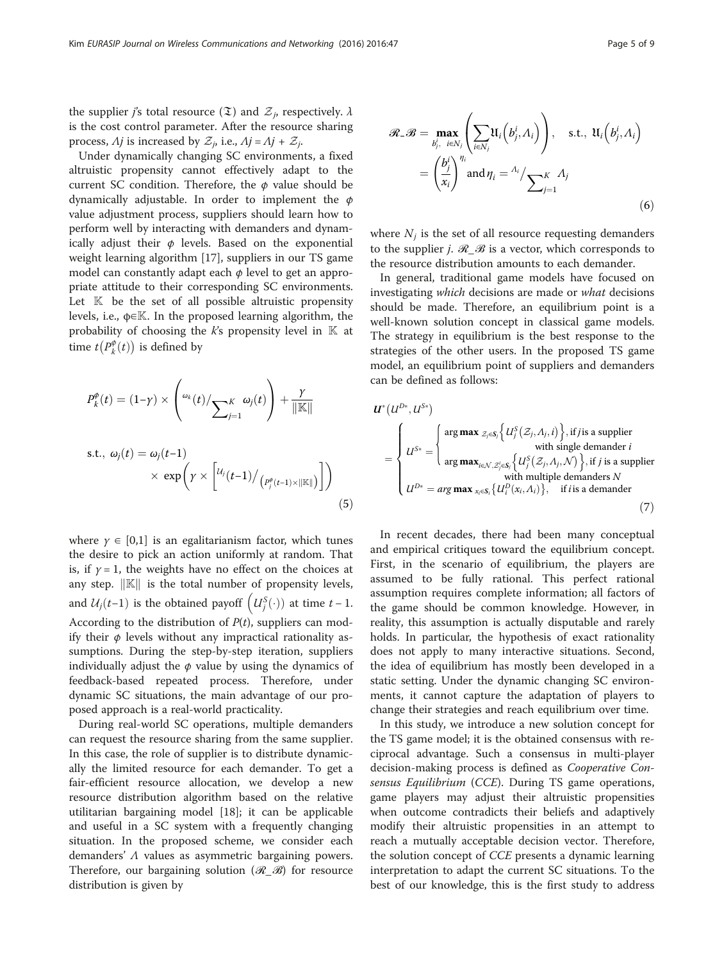<span id="page-4-0"></span>the supplier j's total resource ( $\mathfrak{X}$ ) and  $\mathcal{Z}_i$ , respectively.  $\lambda$ is the cost control parameter. After the resource sharing process,  $\Lambda j$  is increased by  $\mathcal{Z}_i$ , i.e.,  $\Lambda j = \Lambda j + \mathcal{Z}_i$ .

Under dynamically changing SC environments, a fixed altruistic propensity cannot effectively adapt to the current SC condition. Therefore, the  $\phi$  value should be dynamically adjustable. In order to implement the  $\phi$ value adjustment process, suppliers should learn how to perform well by interacting with demanders and dynamically adjust their  $\phi$  levels. Based on the exponential weight learning algorithm [[17](#page-8-0)], suppliers in our TS game model can constantly adapt each  $\phi$  level to get an appropriate attitude to their corresponding SC environments. Let  $K$  be the set of all possible altruistic propensity levels, i.e.,  $\phi \in \mathbb{K}$ . In the proposed learning algorithm, the probability of choosing the  $k$ 's propensity level in  $K$  at time  $t(P_k^{\phi}(t))$  is defined by

$$
P_{k}^{\phi}(t) = (1-\gamma) \times \left(\omega_{k}(t) / \sum_{j=1}^{K} \omega_{j}(t)\right) + \frac{\gamma}{\|\mathbb{K}\|}
$$
  
s.t.,  $\omega_{j}(t) = \omega_{j}(t-1)$   
 $\times \exp\left(\gamma \times \left[\frac{u_{j}(t-1)}{\rho_{j}^{\phi}(t-1) \times \|\mathbb{K}\|}\right]\right)$  (5)

where  $\gamma \in [0,1]$  is an egalitarianism factor, which tunes the desire to pick an action uniformly at random. That is, if  $\gamma = 1$ , the weights have no effect on the choices at any step.  $\|K\|$  is the total number of propensity levels, and  $\mathcal{U}_j(t-1)$  is the obtained payoff  $\left( U_j^S(\cdot) \right)$  at time  $t-1$ . According to the distribution of  $P(t)$ , suppliers can modify their  $\phi$  levels without any impractical rationality assumptions. During the step-by-step iteration, suppliers individually adjust the  $\phi$  value by using the dynamics of feedback-based repeated process. Therefore, under dynamic SC situations, the main advantage of our proposed approach is a real-world practicality.

During real-world SC operations, multiple demanders can request the resource sharing from the same supplier. In this case, the role of supplier is to distribute dynamically the limited resource for each demander. To get a fair-efficient resource allocation, we develop a new resource distribution algorithm based on the relative utilitarian bargaining model [[18\]](#page-8-0); it can be applicable and useful in a SC system with a frequently changing situation. In the proposed scheme, we consider each demanders' Λ values as asymmetric bargaining powers. Therefore, our bargaining solution  $(\mathcal{R}_{\mathcal{A}}\mathcal{B})$  for resource distribution is given by

$$
\mathcal{R} \mathcal{B} = \max_{b_j^i, i \in N_j} \left( \sum_{i \in N_j} \mathfrak{U}_i \left( b_j^i, \Lambda_i \right) \right), \quad \text{s.t., } \mathfrak{U}_i \left( b_j^i, \Lambda_i \right)
$$

$$
= \left( \frac{b_j^i}{x_i} \right)^{\eta_i} \text{and } \eta_i = \frac{\Lambda_i}{\sum_{j=1}^K \Lambda_j} \tag{6}
$$

where  $N_i$  is the set of all resource requesting demanders to the supplier *j.*  $\mathcal{R}_\mathcal{L}$  is a vector, which corresponds to the resource distribution amounts to each demander.

In general, traditional game models have focused on investigating which decisions are made or what decisions should be made. Therefore, an equilibrium point is a well-known solution concept in classical game models. The strategy in equilibrium is the best response to the strategies of the other users. In the proposed TS game model, an equilibrium point of suppliers and demanders can be defined as follows:

$$
\mathbf{u}^*(U^{D*}, U^{S*})
$$
\n
$$
= \begin{cases}\nU^{S*} = \begin{cases}\n\arg \max_{\mathcal{Z}_j \in S_j} \left\{ U_j^S(\mathcal{Z}_j, \Lambda_j, i) \right\}, & \text{if } j \text{ is a supplier} \\
\arg \max_{i \in \mathcal{N}, \mathcal{Z}_j^i \in S_j} \left\{ U_j^S(\mathcal{Z}_j, \Lambda_j, \mathcal{N}) \right\}, & \text{if } j \text{ is a supplier} \\
\text{with multiple demands } N\n\end{cases} \\
U^{D*} = \arg \max_{x_i \in S_i} \left\{ U_i^D(x_i, \Lambda_i) \right\}, & \text{if } i \text{ is a demander}\n\end{cases}
$$
\n(7)

In recent decades, there had been many conceptual and empirical critiques toward the equilibrium concept. First, in the scenario of equilibrium, the players are assumed to be fully rational. This perfect rational assumption requires complete information; all factors of the game should be common knowledge. However, in reality, this assumption is actually disputable and rarely holds. In particular, the hypothesis of exact rationality does not apply to many interactive situations. Second, the idea of equilibrium has mostly been developed in a static setting. Under the dynamic changing SC environments, it cannot capture the adaptation of players to change their strategies and reach equilibrium over time.

In this study, we introduce a new solution concept for the TS game model; it is the obtained consensus with reciprocal advantage. Such a consensus in multi-player decision-making process is defined as Cooperative Consensus Equilibrium (CCE). During TS game operations, game players may adjust their altruistic propensities when outcome contradicts their beliefs and adaptively modify their altruistic propensities in an attempt to reach a mutually acceptable decision vector. Therefore, the solution concept of CCE presents a dynamic learning interpretation to adapt the current SC situations. To the best of our knowledge, this is the first study to address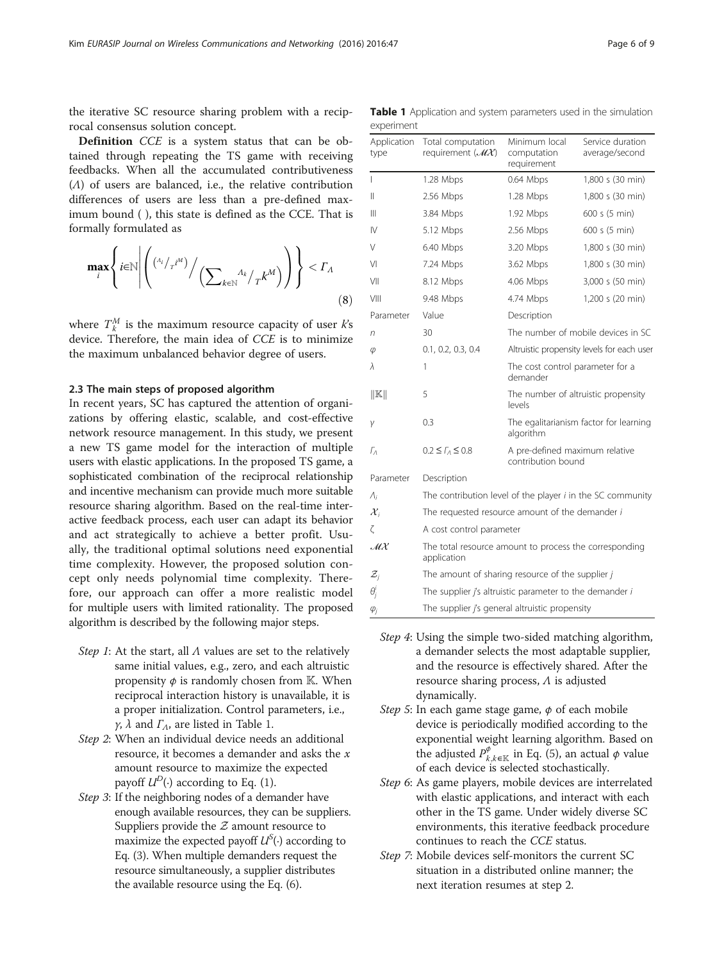<span id="page-5-0"></span>Definition CCE is a system status that can be obtained through repeating the TS game with receiving feedbacks. When all the accumulated contributiveness (Λ) of users are balanced, i.e., the relative contribution differences of users are less than a pre-defined maximum bound ( ), this state is defined as the CCE. That is formally formulated as

$$
\max_{i} \left\{ i \in \mathbb{N} \left| \left( \left( \frac{A_i}{T} \right)^{i^M} \right) / \left( \sum_{k \in \mathbb{N}} \frac{A_k}{T} \right)^M \right| \right\} < \Gamma_A \tag{8}
$$

where  $T_k^M$  is the maximum resource capacity of user  $k$ 's device. Therefore, the main idea of CCE is to minimize the maximum unbalanced behavior degree of users.

### 2.3 The main steps of proposed algorithm

In recent years, SC has captured the attention of organizations by offering elastic, scalable, and cost-effective network resource management. In this study, we present a new TS game model for the interaction of multiple users with elastic applications. In the proposed TS game, a sophisticated combination of the reciprocal relationship and incentive mechanism can provide much more suitable resource sharing algorithm. Based on the real-time interactive feedback process, each user can adapt its behavior and act strategically to achieve a better profit. Usually, the traditional optimal solutions need exponential time complexity. However, the proposed solution concept only needs polynomial time complexity. Therefore, our approach can offer a more realistic model for multiple users with limited rationality. The proposed algorithm is described by the following major steps.

- Step 1: At the start, all  $\Lambda$  values are set to the relatively same initial values, e.g., zero, and each altruistic propensity  $\phi$  is randomly chosen from K. When reciprocal interaction history is unavailable, it is a proper initialization. Control parameters, i.e., γ,  $\lambda$  and  $\Gamma_{\Lambda}$ , are listed in Table 1.
- Step 2: When an individual device needs an additional resource, it becomes a demander and asks the  $x$ amount resource to maximize the expected payoff  $U^{D}(\cdot)$  according to Eq. [\(1](#page-3-0)).
- Step 3: If the neighboring nodes of a demander have enough available resources, they can be suppliers. Suppliers provide the  $Z$  amount resource to maximize the expected payoff  $U^{S}(\cdot)$  according to Eq. ([3](#page-3-0)). When multiple demanders request the resource simultaneously, a supplier distributes the available resource using the Eq. [\(6](#page-4-0)).

|            |  |  | <b>Table 1</b> Application and system parameters used in the simulation |  |  |  |
|------------|--|--|-------------------------------------------------------------------------|--|--|--|
| experiment |  |  |                                                                         |  |  |  |

| Application<br>type | Total computation<br>requirement $(\mathcal{MX})$                     | Minimum local<br>computation<br>requirement          | Service duration<br>average/second |  |  |  |  |
|---------------------|-----------------------------------------------------------------------|------------------------------------------------------|------------------------------------|--|--|--|--|
| L                   | 1.28 Mbps                                                             | 0.64 Mbps                                            | 1,800 s (30 min)                   |  |  |  |  |
| Ш                   | 2.56 Mbps                                                             | 1.28 Mbps                                            | 1,800 s (30 min)                   |  |  |  |  |
| Ш                   | 3.84 Mbps                                                             | 1.92 Mbps                                            | 600 s (5 min)                      |  |  |  |  |
| IV                  | 5.12 Mbps                                                             | 2.56 Mbps                                            | 600 s (5 min)                      |  |  |  |  |
| V                   | 6.40 Mbps                                                             | 3.20 Mbps                                            | 1,800 s (30 min)                   |  |  |  |  |
| VI                  | 7.24 Mbps                                                             | 3.62 Mbps                                            | 1,800 s (30 min)                   |  |  |  |  |
| VII                 | 8.12 Mbps                                                             | 4.06 Mbps                                            | 3,000 s (50 min)                   |  |  |  |  |
| VIII                | 9.48 Mbps                                                             | 4.74 Mbps                                            | 1,200 s (20 min)                   |  |  |  |  |
| Parameter           | Value                                                                 | Description                                          |                                    |  |  |  |  |
| n                   | 30                                                                    | The number of mobile devices in SC                   |                                    |  |  |  |  |
| φ                   | 0.1, 0.2, 0.3, 0.4                                                    | Altruistic propensity levels for each user           |                                    |  |  |  |  |
| λ                   | 1                                                                     | The cost control parameter for a<br>demander         |                                    |  |  |  |  |
| $\ K\ $             | 5                                                                     | The number of altruistic propensity<br>levels        |                                    |  |  |  |  |
| γ                   | 0.3                                                                   | The egalitarianism factor for learning<br>algorithm  |                                    |  |  |  |  |
| Гл                  | $0.2 \leq \Gamma_1 \leq 0.8$                                          | A pre-defined maximum relative<br>contribution bound |                                    |  |  |  |  |
| Parameter           | Description                                                           |                                                      |                                    |  |  |  |  |
| $\Lambda_i$         | The contribution level of the player <i>i</i> in the SC community     |                                                      |                                    |  |  |  |  |
| $\mathcal{X}_i$     | The requested resource amount of the demander i                       |                                                      |                                    |  |  |  |  |
| $\zeta$             | A cost control parameter                                              |                                                      |                                    |  |  |  |  |
| MX                  | The total resource amount to process the corresponding<br>application |                                                      |                                    |  |  |  |  |
| $\mathcal{Z}_i$     | The amount of sharing resource of the supplier j                      |                                                      |                                    |  |  |  |  |
| $\theta^i_j$        | The supplier i's altruistic parameter to the demander i               |                                                      |                                    |  |  |  |  |
| $\varphi_i$         | The supplier i's general altruistic propensity                        |                                                      |                                    |  |  |  |  |

- Step 4: Using the simple two-sided matching algorithm, a demander selects the most adaptable supplier, and the resource is effectively shared. After the resource sharing process,  $\Lambda$  is adjusted dynamically.
- Step 5: In each game stage game,  $\phi$  of each mobile device is periodically modified according to the exponential weight learning algorithm. Based on the adjusted  $P^{\phi}_{k,k \in \mathbb{K}}$  in Eq. [\(5\)](#page-4-0), an actual  $\phi$  value of each device is selected stochastically.
- Step 6: As game players, mobile devices are interrelated with elastic applications, and interact with each other in the TS game. Under widely diverse SC environments, this iterative feedback procedure continues to reach the CCE status.
- Step 7: Mobile devices self-monitors the current SC situation in a distributed online manner; the next iteration resumes at step 2.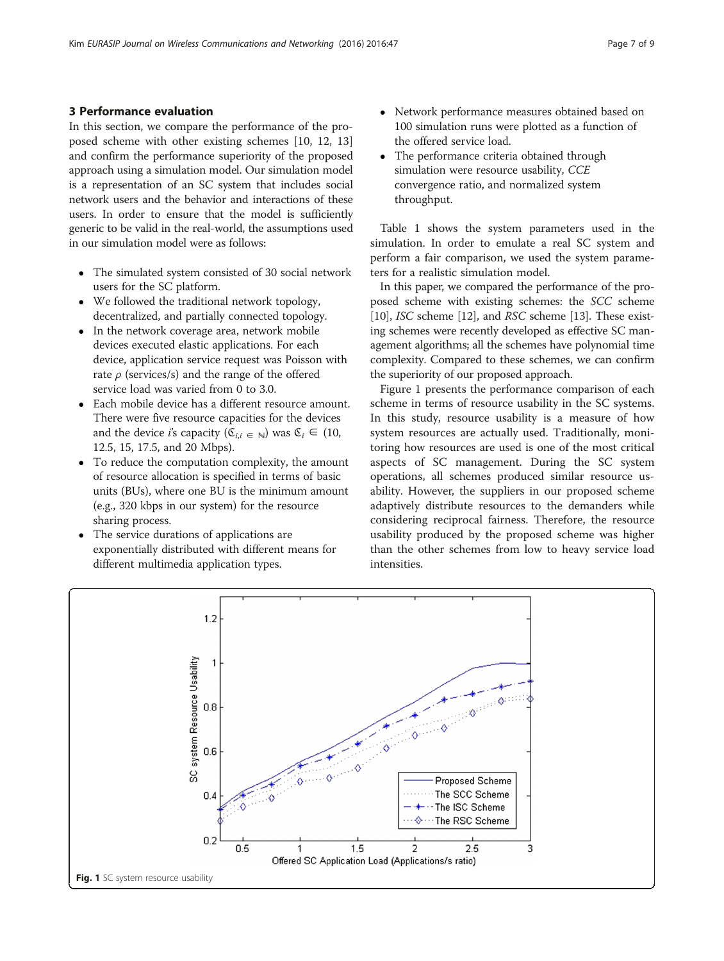### <span id="page-6-0"></span>3 Performance evaluation

In this section, we compare the performance of the proposed scheme with other existing schemes [\[10, 12](#page-8-0), [13](#page-8-0)] and confirm the performance superiority of the proposed approach using a simulation model. Our simulation model is a representation of an SC system that includes social network users and the behavior and interactions of these users. In order to ensure that the model is sufficiently generic to be valid in the real-world, the assumptions used in our simulation model were as follows:

- The simulated system consisted of 30 social network users for the SC platform.
- We followed the traditional network topology, decentralized, and partially connected topology.
- In the network coverage area, network mobile devices executed elastic applications. For each device, application service request was Poisson with rate  $\rho$  (services/s) and the range of the offered service load was varied from 0 to 3.0.
- Each mobile device has a different resource amount. There were five resource capacities for the devices and the device *i*'s capacity ( $\mathfrak{C}_{i,i \in \mathbb{N}}$ ) was  $\mathfrak{C}_i \in (10, 10)$ 12.5, 15, 17.5, and 20 Mbps).
- To reduce the computation complexity, the amount of resource allocation is specified in terms of basic units (BUs), where one BU is the minimum amount (e.g., 320 kbps in our system) for the resource sharing process.
- The service durations of applications are exponentially distributed with different means for different multimedia application types.
- Network performance measures obtained based on 100 simulation runs were plotted as a function of the offered service load.
- The performance criteria obtained through simulation were resource usability, CCE convergence ratio, and normalized system throughput.

Table [1](#page-5-0) shows the system parameters used in the simulation. In order to emulate a real SC system and perform a fair comparison, we used the system parameters for a realistic simulation model.

In this paper, we compared the performance of the proposed scheme with existing schemes: the SCC scheme [[10](#page-8-0)], *ISC* scheme [\[12](#page-8-0)], and *RSC* scheme [[13](#page-8-0)]. These existing schemes were recently developed as effective SC management algorithms; all the schemes have polynomial time complexity. Compared to these schemes, we can confirm the superiority of our proposed approach.

Figure 1 presents the performance comparison of each scheme in terms of resource usability in the SC systems. In this study, resource usability is a measure of how system resources are actually used. Traditionally, monitoring how resources are used is one of the most critical aspects of SC management. During the SC system operations, all schemes produced similar resource usability. However, the suppliers in our proposed scheme adaptively distribute resources to the demanders while considering reciprocal fairness. Therefore, the resource usability produced by the proposed scheme was higher than the other schemes from low to heavy service load intensities.

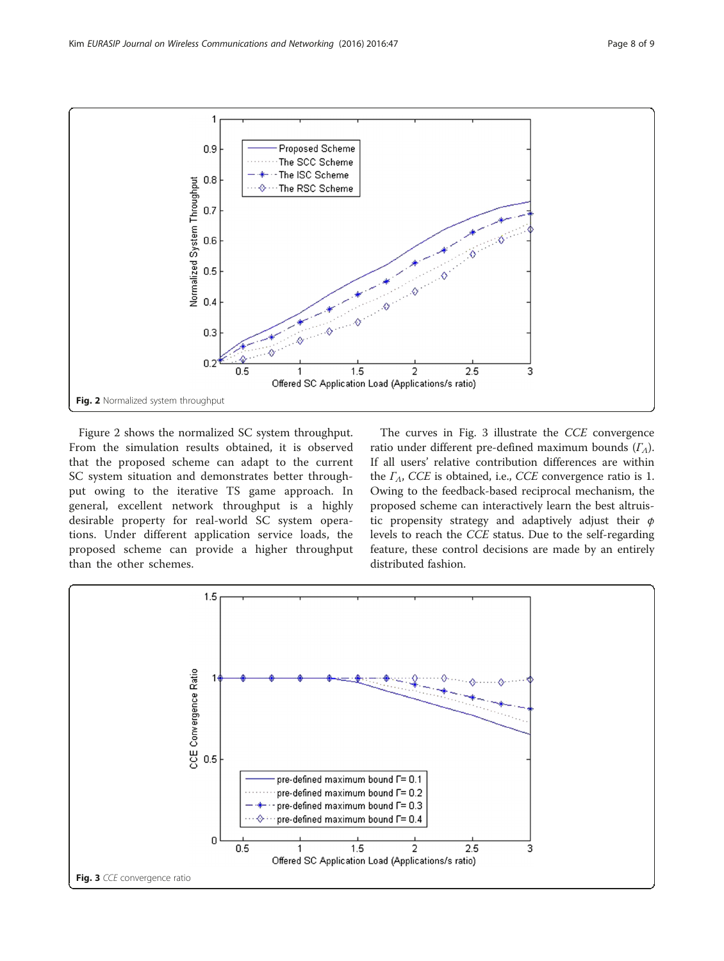<span id="page-7-0"></span>

Figure 2 shows the normalized SC system throughput. From the simulation results obtained, it is observed that the proposed scheme can adapt to the current SC system situation and demonstrates better throughput owing to the iterative TS game approach. In general, excellent network throughput is a highly desirable property for real-world SC system operations. Under different application service loads, the proposed scheme can provide a higher throughput than the other schemes.

The curves in Fig. 3 illustrate the CCE convergence ratio under different pre-defined maximum bounds  $(\Gamma_{\Lambda})$ . If all users' relative contribution differences are within the  $\Gamma_{\Lambda}$ , CCE is obtained, i.e., CCE convergence ratio is 1. Owing to the feedback-based reciprocal mechanism, the proposed scheme can interactively learn the best altruistic propensity strategy and adaptively adjust their  $\phi$ levels to reach the CCE status. Due to the self-regarding feature, these control decisions are made by an entirely distributed fashion.